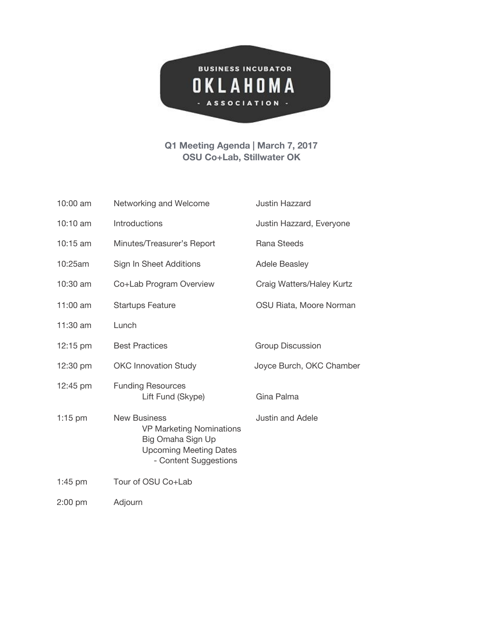

## **Q1 Meeting Agenda | March 7, 2017 OSU Co+Lab, Stillwater OK**

| 10:00 am   | Networking and Welcome                                                                                                                | Justin Hazzard            |  |  |
|------------|---------------------------------------------------------------------------------------------------------------------------------------|---------------------------|--|--|
| 10:10 am   | Introductions                                                                                                                         | Justin Hazzard, Everyone  |  |  |
| 10:15 am   | Minutes/Treasurer's Report                                                                                                            | Rana Steeds               |  |  |
| 10:25am    | Sign In Sheet Additions                                                                                                               | <b>Adele Beasley</b>      |  |  |
| 10:30 am   | Co+Lab Program Overview                                                                                                               | Craig Watters/Haley Kurtz |  |  |
| 11:00 $am$ | <b>Startups Feature</b>                                                                                                               | OSU Riata, Moore Norman   |  |  |
| 11:30 am   | Lunch                                                                                                                                 |                           |  |  |
| 12:15 pm   | <b>Best Practices</b>                                                                                                                 | <b>Group Discussion</b>   |  |  |
| 12:30 pm   | <b>OKC Innovation Study</b>                                                                                                           | Joyce Burch, OKC Chamber  |  |  |
| 12:45 pm   | <b>Funding Resources</b><br>Lift Fund (Skype)                                                                                         | Gina Palma                |  |  |
| $1:15$ pm  | <b>New Business</b><br><b>VP Marketing Nominations</b><br>Big Omaha Sign Up<br><b>Upcoming Meeting Dates</b><br>- Content Suggestions | <b>Justin and Adele</b>   |  |  |
| $1:45$ pm  | Tour of OSU Co+Lab                                                                                                                    |                           |  |  |
| $2:00$ pm  | Adjourn                                                                                                                               |                           |  |  |